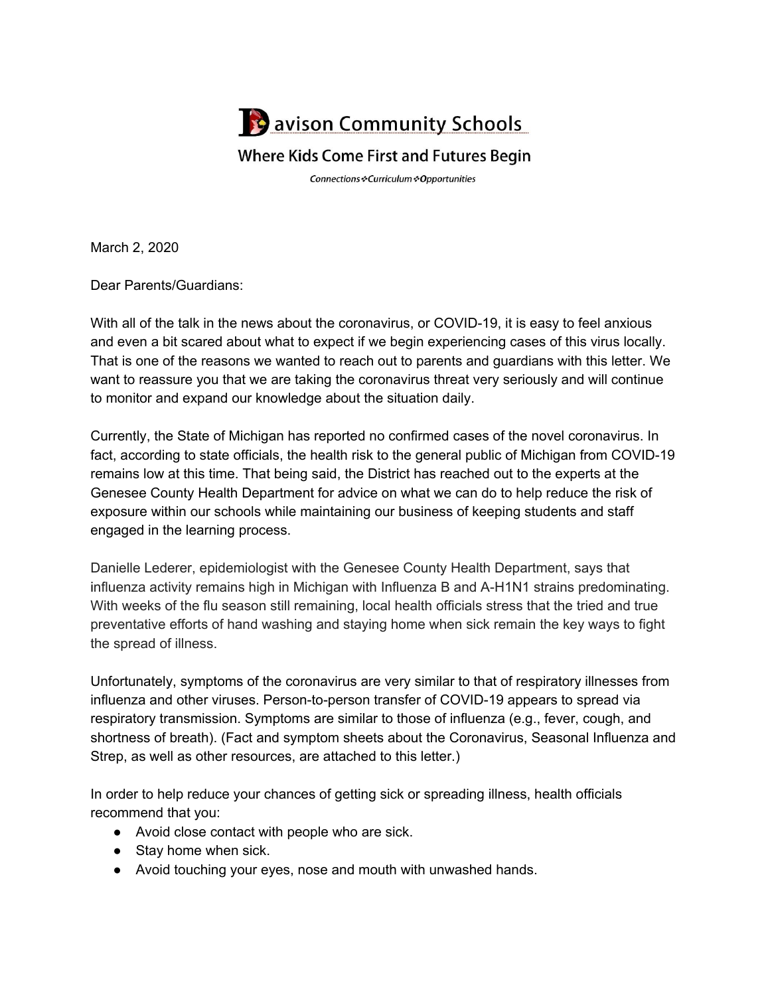

**Where Kids Come First and Futures Begin** 

Connections \* Curriculum \* Opportunities

March 2, 2020

Dear Parents/Guardians:

With all of the talk in the news about the coronavirus, or COVID-19, it is easy to feel anxious and even a bit scared about what to expect if we begin experiencing cases of this virus locally. That is one of the reasons we wanted to reach out to parents and guardians with this letter. We want to reassure you that we are taking the coronavirus threat very seriously and will continue to monitor and expand our knowledge about the situation daily.

Currently, the State of Michigan has reported no confirmed cases of the novel coronavirus. In fact, according to state officials, the health risk to the general public of Michigan from COVID-19 remains low at this time. That being said, the District has reached out to the experts at the Genesee County Health Department for advice on what we can do to help reduce the risk of exposure within our schools while maintaining our business of keeping students and staff engaged in the learning process.

Danielle Lederer, epidemiologist with the Genesee County Health Department, says that influenza activity remains high in Michigan with Influenza B and A-H1N1 strains predominating. With weeks of the flu season still remaining, local health officials stress that the tried and true preventative efforts of hand washing and staying home when sick remain the key ways to fight the spread of illness.

Unfortunately, symptoms of the coronavirus are very similar to that of respiratory illnesses from influenza and other viruses. Person-to-person transfer of COVID-19 appears to spread via respiratory transmission. Symptoms are similar to those of influenza (e.g., fever, cough, and shortness of breath). (Fact and symptom sheets about the Coronavirus, Seasonal Influenza and Strep, as well as other resources, are attached to this letter.)

In order to help reduce your chances of getting sick or spreading illness, health officials recommend that you:

- Avoid close contact with people who are sick.
- Stay home when sick.
- Avoid touching your eyes, nose and mouth with unwashed hands.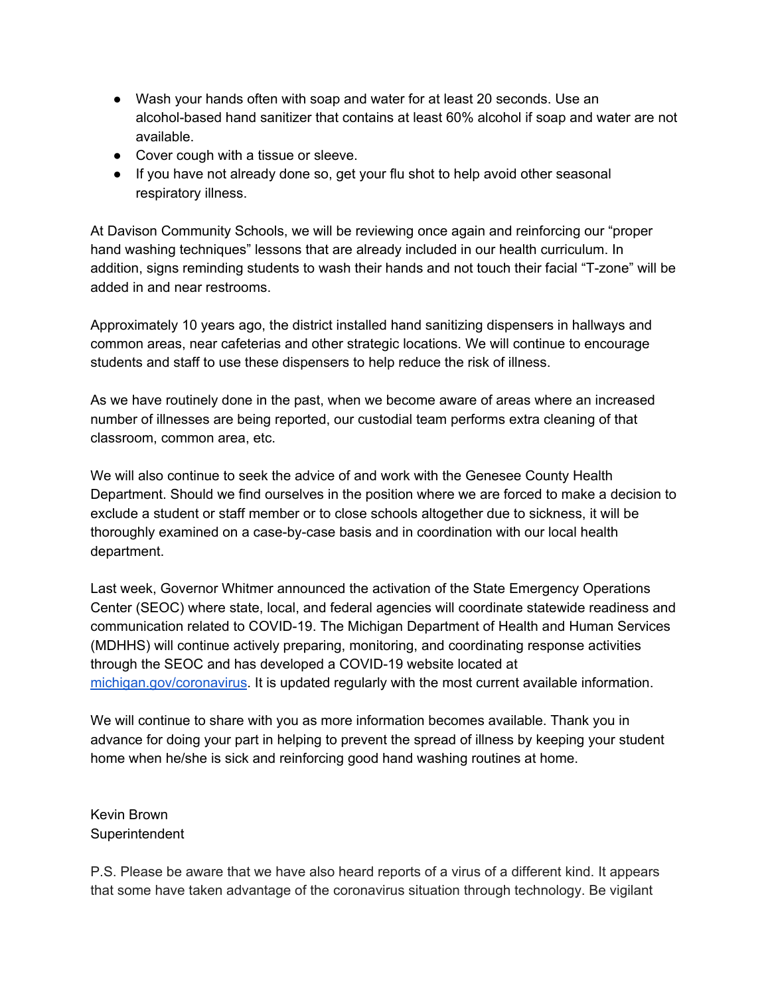- Wash your hands often with soap and water for at least 20 seconds. Use an alcohol-based hand sanitizer that contains at least 60% alcohol if soap and water are not available.
- Cover cough with a tissue or sleeve.
- If you have not already done so, get your flu shot to help avoid other seasonal respiratory illness.

At Davison Community Schools, we will be reviewing once again and reinforcing our "proper hand washing techniques" lessons that are already included in our health curriculum. In addition, signs reminding students to wash their hands and not touch their facial "T-zone" will be added in and near restrooms.

Approximately 10 years ago, the district installed hand sanitizing dispensers in hallways and common areas, near cafeterias and other strategic locations. We will continue to encourage students and staff to use these dispensers to help reduce the risk of illness.

As we have routinely done in the past, when we become aware of areas where an increased number of illnesses are being reported, our custodial team performs extra cleaning of that classroom, common area, etc.

We will also continue to seek the advice of and work with the Genesee County Health Department. Should we find ourselves in the position where we are forced to make a decision to exclude a student or staff member or to close schools altogether due to sickness, it will be thoroughly examined on a case-by-case basis and in coordination with our local health department.

Last week, Governor Whitmer announced the activation of the State Emergency Operations Center (SEOC) where state, local, and federal agencies will coordinate statewide readiness and communication related to COVID-19. The Michigan Department of Health and Human Services (MDHHS) will continue actively preparing, monitoring, and coordinating response activities through the SEOC and has developed a COVID-19 website located at [michigan.gov/coronavirus](https://www.michigan.gov/mdhhs/0,5885,7-339-71550_5104_97675---,00.html). It is updated regularly with the most current available information.

We will continue to share with you as more information becomes available. Thank you in advance for doing your part in helping to prevent the spread of illness by keeping your student home when he/she is sick and reinforcing good hand washing routines at home.

Kevin Brown **Superintendent** 

P.S. Please be aware that we have also heard reports of a virus of a different kind. It appears that some have taken advantage of the coronavirus situation through technology. Be vigilant